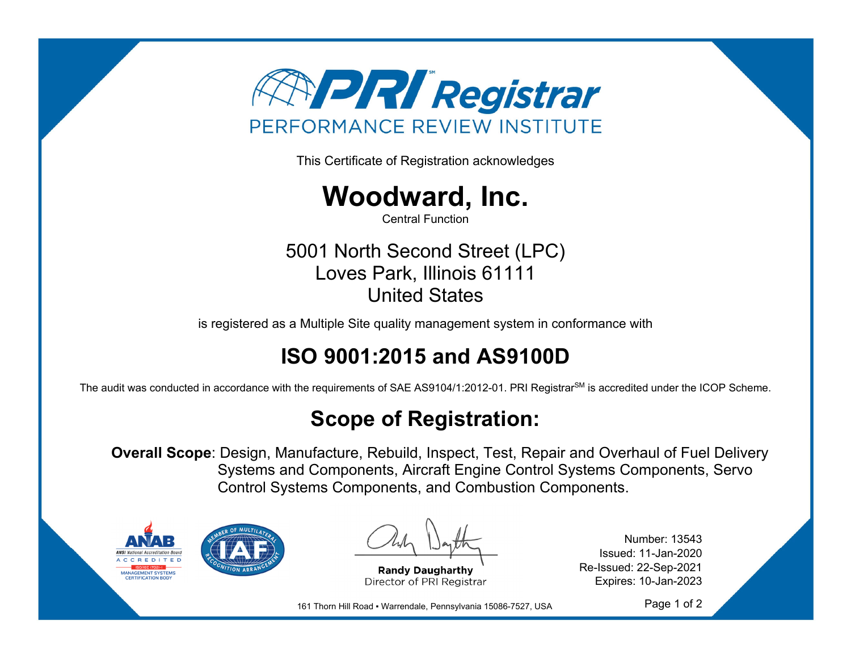

This Certificate of Registration acknowledges



Central Function

5001 North Second Street (LPC) Loves Park, Illinois 61111 United States

is registered as a Multiple Site quality management system in conformance with

## **ISO 9001:2015 and AS9100D**

The audit was conducted in accordance with the requirements of SAE AS9104/1:2012-01. PRI Registrar<sup>SM</sup> is accredited under the ICOP Scheme.

## **Scope of Registration:**

**Overall Scope**: Design, Manufacture, Rebuild, Inspect, Test, Repair and Overhaul of Fuel Delivery Systems and Components, Aircraft Engine Control Systems Components, Servo Control Systems Components, and Combustion Components.



**Randy Daugharthy** Director of PRI Registrar

Number: 13543 Issued: 11-Jan-2020 Re-Issued: 22-Sep-2021 Expires: 10-Jan-2023

161 Thorn Hill Road ▪ Warrendale, Pennsylvania 15086-7527, USA

Page 1 of 2